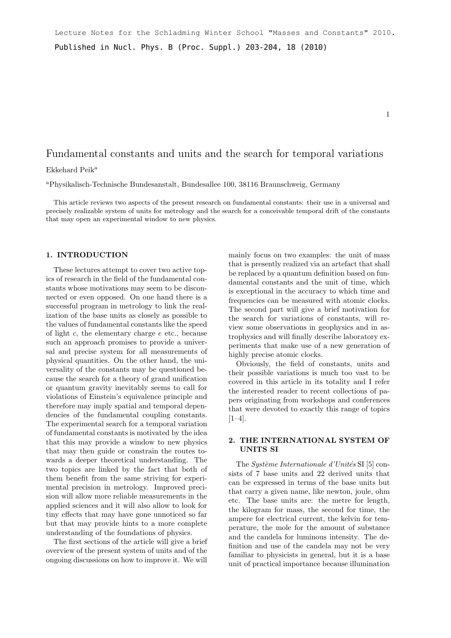Lecture Notes for the Schladming Winter School "Masses and Constants" 2010. Published in Nucl. Phys. B (Proc. Suppl.) 203-204, 18 (2010)

#### 1

# Fundamental constants and units and the search for temporal variations

Ekkehard Peik<sup>a</sup>

<sup>a</sup>Physikalisch-Technische Bundesanstalt, Bundesallee 100, 38116 Braunschweig, Germany

This article reviews two aspects of the present research on fundamental constants: their use in a universal and precisely realizable system of units for metrology and the search for a conceivable temporal drift of the constants that may open an experimental window to new physics.

#### 1. INTRODUCTION

These lectures attempt to cover two active topics of research in the field of the fundamental constants whose motivations may seem to be disconnected or even opposed. On one hand there is a successful program in metrology to link the realization of the base units as closely as possible to the values of fundamental constants like the speed of light  $c$ , the elementary charge  $e$  etc., because such an approach promises to provide a universal and precise system for all measurements of physical quantities. On the other hand, the universality of the constants may be questioned because the search for a theory of grand unification or quantum gravity inevitably seems to call for violations of Einstein's equivalence principle and therefore may imply spatial and temporal dependencies of the fundamental coupling constants. The experimental search for a temporal variation of fundamental constants is motivated by the idea that this may provide a window to new physics that may then guide or constrain the routes towards a deeper theoretical understanding. The two topics are linked by the fact that both of them benefit from the same striving for experimental precision in metrology. Improved precision will allow more reliable measurements in the applied sciences and it will also allow to look for tiny effects that may have gone unnoticed so far but that may provide hints to a more complete understanding of the foundations of physics.

The first sections of the article will give a brief overview of the present system of units and of the ongoing discussions on how to improve it. We will

mainly focus on two examples: the unit of mass that is presently realized via an artefact that shall be replaced by a quantum definition based on fundamental constants and the unit of time, which is exceptional in the accuracy to which time and frequencies can be measured with atomic clocks. The second part will give a brief motivation for the search for variations of constants, will review some observations in geophysics and in astrophysics and will finally describe laboratory experiments that make use of a new generation of highly precise atomic clocks.

Obviously, the field of constants, units and their possible variations is much too vast to be covered in this article in its totality and I refer the interested reader to recent collections of papers originating from workshops and conferences that were devoted to exactly this range of topics  $[1-4]$ .

## 2. THE INTERNATIONAL SYSTEM OF UNITS SI

The Système Internationale d'Unités SI [5] consists of 7 base units and 22 derived units that can be expressed in terms of the base units but that carry a given name, like newton, joule, ohm etc. The base units are: the metre for length, the kilogram for mass, the second for time, the ampere for electrical current, the kelvin for temperature, the mole for the amount of substance and the candela for luminous intensity. The definition and use of the candela may not be very familiar to physicists in general, but it is a base unit of practical importance because illumination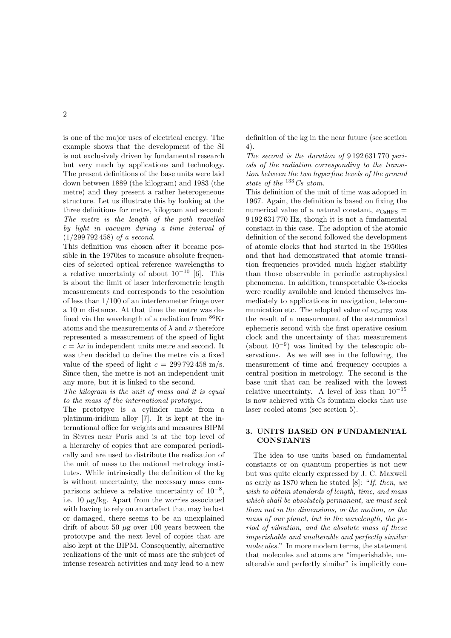is one of the major uses of electrical energy. The example shows that the development of the SI is not exclusively driven by fundamental research but very much by applications and technology. The present definitions of the base units were laid down between 1889 (the kilogram) and 1983 (the metre) and they present a rather heterogeneous structure. Let us illustrate this by looking at the three definitions for metre, kilogram and second: The metre is the length of the path travelled by light in vacuum during a time interval of (1/299 792 458) of a second.

This definition was chosen after it became possible in the 1970ies to measure absolute frequencies of selected optical reference wavelengths to a relative uncertainty of about  $10^{-10}$  [6]. This is about the limit of laser interferometric length measurements and corresponds to the resolution of less than 1/100 of an interferometer fringe over a 10 m distance. At that time the metre was defined via the wavelength of a radiation from  ${}^{86}\text{Kr}$ atoms and the measurements of  $\lambda$  and  $\nu$  therefore represented a measurement of the speed of light  $c = \lambda \nu$  in independent units metre and second. It was then decided to define the metre via a fixed value of the speed of light  $c = 299\,792\,458$  m/s. Since then, the metre is not an independent unit any more, but it is linked to the second.

The kilogram is the unit of mass and it is equal to the mass of the international prototype.

The prototpye is a cylinder made from a platinum-iridium alloy [7]. It is kept at the international office for weights and measures BIPM in Sèvres near Paris and is at the top level of a hierarchy of copies that are compared periodically and are used to distribute the realization of the unit of mass to the national metrology institutes. While intrinsically the definition of the kg is without uncertainty, the necessary mass comparisons achieve a relative uncertainty of 10<sup>−</sup><sup>8</sup> , i.e. 10  $\mu$ g/kg. Apart from the worries associated with having to rely on an artefact that may be lost or damaged, there seems to be an unexplained drift of about 50  $\mu$ g over 100 years between the prototype and the next level of copies that are also kept at the BIPM. Consequently, alternative realizations of the unit of mass are the subject of intense research activities and may lead to a new

definition of the kg in the near future (see section 4).

The second is the duration of 9 192 631 770 periods of the radiation corresponding to the transition between the two hyperfine levels of the ground state of the  $133Cs$  atom.

This definition of the unit of time was adopted in 1967. Again, the definition is based on fixing the numerical value of a natural constant,  $\nu_{\text{CsHFS}} =$ 9 192 631 770 Hz, though it is not a fundamental constant in this case. The adoption of the atomic definition of the second followed the development of atomic clocks that had started in the 1950ies and that had demonstrated that atomic transition frequencies provided much higher stability than those observable in periodic astrophysical phenomena. In addition, transportable Cs-clocks were readily available and lended themselves immediately to applications in navigation, telecommunication etc. The adopted value of  $\nu_{\text{CsHFS}}$  was the result of a measurement of the astronomical ephemeris second with the first operative cesium clock and the uncertainty of that measurement (about 10<sup>−</sup><sup>9</sup> ) was limited by the telescopic observations. As we will see in the following, the measurement of time and frequency occupies a central position in metrology. The second is the base unit that can be realized with the lowest relative uncertainty. A level of less than  $10^{-15}$ is now achieved with Cs fountain clocks that use laser cooled atoms (see section 5).

## 3. UNITS BASED ON FUNDAMENTAL CONSTANTS

The idea to use units based on fundamental constants or on quantum properties is not new but was quite clearly expressed by J. C. Maxwell as early as 1870 when he stated [8]: "If, then, we wish to obtain standards of length, time, and mass which shall be absolutely permanent, we must seek them not in the dimensions, or the motion, or the mass of our planet, but in the wavelength, the period of vibration, and the absolute mass of these imperishable and unalterable and perfectly similar molecules." In more modern terms, the statement that molecules and atoms are "imperishable, unalterable and perfectly similar" is implicitly con-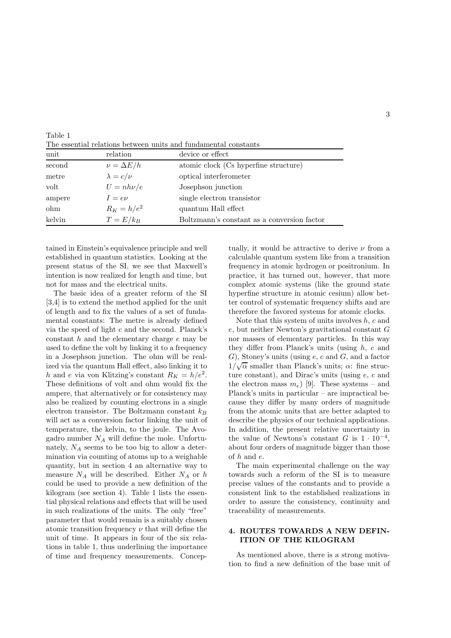| 110 ODDUIDIMI IUIWOIUDID DUUN OUII UIIIW WIIU IUIRUUIIUDI UUIDOWIND |                    |                                             |  |  |
|---------------------------------------------------------------------|--------------------|---------------------------------------------|--|--|
| unit                                                                | relation           | device or effect                            |  |  |
| second                                                              | $\nu = \Delta E/h$ | atomic clock (Cs hyperfine structure)       |  |  |
| metre                                                               | $\lambda = c/\nu$  | optical interferometer                      |  |  |
| volt                                                                | $U = nh\nu/e$      | Josephson junction                          |  |  |
| ampere                                                              | $I = e\nu$         | single electron transistor                  |  |  |
| ohm                                                                 | $R_K = h/e^2$      | quantum Hall effect                         |  |  |
| kelvin                                                              | $T = E/k_B$        | Boltzmann's constant as a conversion factor |  |  |

Table 1 The essential relations between units and fundamental constants

tained in Einstein's equivalence principle and well established in quantum statistics. Looking at the present status of the SI, we see that Maxwell's intention is now realized for length and time, but not for mass and the electrical units.

The basic idea of a greater reform of the SI [3,4] is to extend the method applied for the unit of length and to fix the values of a set of fundamental constants: The metre is already defined via the speed of light  $c$  and the second. Planck's constant  $h$  and the elementary charge  $e$  may be used to define the volt by linking it to a frequency in a Josephson junction. The ohm will be realized via the quantum Hall effect, also linking it to h and e via von Klitzing's constant  $R_K = h/e^2$ . These definitions of volt and ohm would fix the ampere, that alternatively or for consistency may also be realized by counting electrons in a single electron transistor. The Boltzmann constant  $k_B$ will act as a conversion factor linking the unit of temperature, the kelvin, to the joule. The Avogadro number  $N_A$  will define the mole. Unfortunately,  $N_A$  seems to be too big to allow a determination via counting of atoms up to a weighable quantity, but in section 4 an alternative way to measure  $N_A$  will be described. Either  $N_A$  or h could be used to provide a new definition of the kilogram (see section 4). Table 1 lists the essential physical relations and effects that will be used in such realizations of the units. The only "free" parameter that would remain is a suitably chosen atomic transition frequency  $\nu$  that will define the unit of time. It appears in four of the six relations in table 1, thus underlining the importance of time and frequency measurements. Conceptually, it would be attractive to derive  $\nu$  from a calculable quantum system like from a transition frequency in atomic hydrogen or positronium. In practice, it has turned out, however, that more complex atomic systems (like the ground state hyperfine structure in atomic cesium) allow better control of systematic frequency shifts and are therefore the favored systems for atomic clocks.

Note that this system of units involves  $h, c$  and e, but neither Newton's gravitational constant G nor masses of elementary particles. In this way they differ from Planck's units (using h, c and  $G$ ), Stoney's units (using  $e$ ,  $c$  and  $G$ , and a factor  $1/\sqrt{\alpha}$  smaller than Planck's units;  $\alpha$ : fine structure constant), and Dirac's units (using e, c and the electron mass  $m_e$ ) [9]. These systems – and Planck's units in particular – are impractical because they differ by many orders of magnitude from the atomic units that are better adapted to describe the physics of our technical applications. In addition, the present relative uncertainty in the value of Newtons's constant  $G$  is  $1 \cdot 10^{-4}$ , about four orders of magnitude bigger than those of h and e.

The main experimental challenge on the way towards such a reform of the SI is to measure precise values of the constants and to provide a consistent link to the established realizations in order to assure the consistency, continuity and traceability of measurements.

#### 4. ROUTES TOWARDS A NEW DEFIN-ITION OF THE KILOGRAM

As mentioned above, there is a strong motivation to find a new definition of the base unit of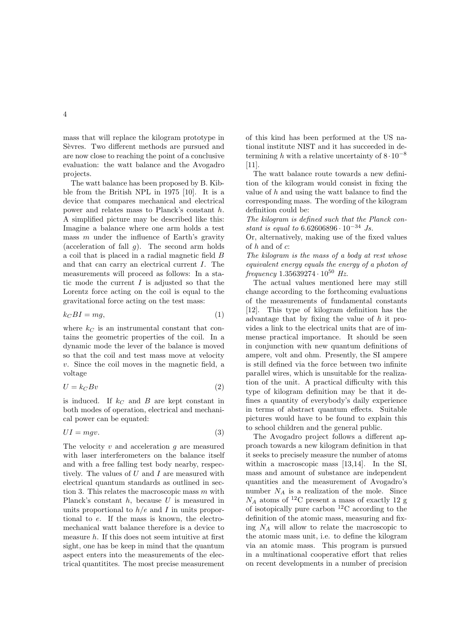mass that will replace the kilogram prototype in Sèvres. Two different methods are pursued and are now close to reaching the point of a conclusive evaluation: the watt balance and the Avogadro projects.

The watt balance has been proposed by B. Kibble from the British NPL in 1975 [10]. It is a device that compares mechanical and electrical power and relates mass to Planck's constant h. A simplified picture may be described like this: Imagine a balance where one arm holds a test mass  $m$  under the influence of Earth's gravity (acceleration of fall q). The second arm holds a coil that is placed in a radial magnetic field B and that can carry an electrical current I. The measurements will proceed as follows: In a static mode the current  $I$  is adjusted so that the Lorentz force acting on the coil is equal to the gravitational force acting on the test mass:

$$
k_CBI = mg,\t\t(1)
$$

where  $k_C$  is an instrumental constant that contains the geometric properties of the coil. In a dynamic mode the lever of the balance is moved so that the coil and test mass move at velocity v. Since the coil moves in the magnetic field, a voltage

$$
U = k_C B v \tag{2}
$$

is induced. If  $k_C$  and  $B$  are kept constant in both modes of operation, electrical and mechanical power can be equated:

$$
UI = mgv.
$$
\n<sup>(3)</sup>

The velocity  $v$  and acceleration  $q$  are measured with laser interferometers on the balance itself and with a free falling test body nearby, respectively. The values of  $U$  and  $I$  are measured with electrical quantum standards as outlined in section 3. This relates the macroscopic mass m with Planck's constant  $h$ , because  $U$  is measured in units proportional to  $h/e$  and I in units proportional to e. If the mass is known, the electromechanical watt balance therefore is a device to measure  $h$ . If this does not seem intuitive at first sight, one has be keep in mind that the quantum aspect enters into the measurements of the electrical quantitites. The most precise measurement of this kind has been performed at the US national institute NIST and it has succeeded in determining h with a relative uncertainty of  $8 \cdot 10^{-8}$ [11].

The watt balance route towards a new definition of the kilogram would consist in fixing the value of  $h$  and using the watt balance to find the corresponding mass. The wording of the kilogram definition could be:

The kilogram is defined such that the Planck constant is equal to  $6.62606896 \cdot 10^{-34}$  Js.

Or, alternatively, making use of the fixed values of  $h$  and of  $c$ :

The kilogram is the mass of a body at rest whose equivalent energy equals the energy of a photon of  $frequenciesu$  1.35639274 ·  $10^{50}$  Hz.

The actual values mentioned here may still change according to the forthcoming evaluations of the measurements of fundamental constants [12]. This type of kilogram definition has the advantage that by fixing the value of  $h$  it provides a link to the electrical units that are of immense practical importance. It should be seen in conjunction with new quantum definitions of ampere, volt and ohm. Presently, the SI ampere is still defined via the force between two infinite parallel wires, which is unsuitable for the realization of the unit. A practical difficulty with this type of kilogram definition may be that it defines a quantity of everybody's daily experience in terms of abstract quantum effects. Suitable pictures would have to be found to explain this to school children and the general public.

The Avogadro project follows a different approach towards a new kilogram definition in that it seeks to precisely measure the number of atoms within a macroscopic mass [13,14]. In the SI, mass and amount of substance are independent quantities and the measurement of Avogadro's number  $N_A$  is a realization of the mole. Since  $N_A$  atoms of <sup>12</sup>C present a mass of exactly 12 g of isotopically pure carbon  ${}^{12}$ C according to the definition of the atomic mass, measuring and fixing  $N_A$  will allow to relate the macroscopic to the atomic mass unit, i.e. to define the kilogram via an atomic mass. This program is pursued in a multinational cooperative effort that relies on recent developments in a number of precision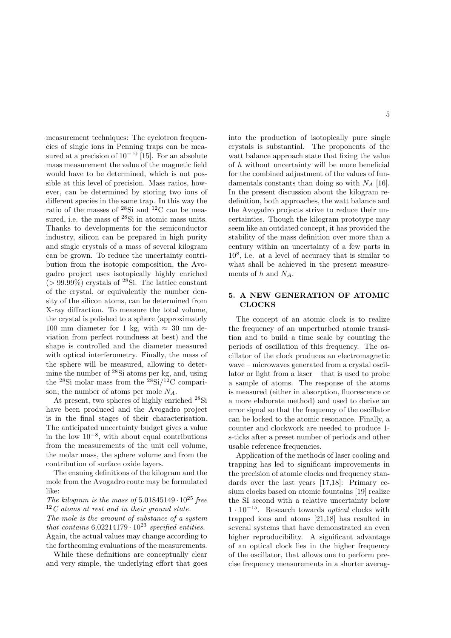measurement techniques: The cyclotron frequencies of single ions in Penning traps can be measured at a precision of  $10^{-10}$  [15]. For an absolute mass measurement the value of the magnetic field would have to be determined, which is not possible at this level of precision. Mass ratios, however, can be determined by storing two ions of different species in the same trap. In this way the ratio of the masses of <sup>28</sup>Si and <sup>12</sup>C can be measured, i.e. the mass of  $28Si$  in atomic mass units. Thanks to developments for the semiconductor industry, silicon can be prepared in high purity and single crystals of a mass of several kilogram can be grown. To reduce the uncertainty contribution from the isotopic composition, the Avogadro project uses isotopically highly enriched  $(>99.99\%)$  crystals of <sup>28</sup>Si. The lattice constant of the crystal, or equivalently the number density of the silicon atoms, can be determined from X-ray diffraction. To measure the total volume, the crystal is polished to a sphere (approximately 100 mm diameter for 1 kg, with  $\approx$  30 nm deviation from perfect roundness at best) and the shape is controlled and the diameter measured with optical interferometry. Finally, the mass of the sphere will be measured, allowing to determine the number of  $28Si$  atoms per kg, and, using the <sup>28</sup>Si molar mass from the  $28\frac{\text{Si}}{12}\text{C}$  comparison, the number of atoms per mole  $N_A$ .

At present, two spheres of highly enriched <sup>28</sup>Si have been produced and the Avogadro project is in the final stages of their characterisation. The anticipated uncertainty budget gives a value in the low 10<sup>−</sup><sup>8</sup> , with about equal contributions from the measurements of the unit cell volume, the molar mass, the sphere volume and from the contribution of surface oxide layers.

The ensuing definitions of the kilogram and the mole from the Avogadro route may be formulated like:

The kilogram is the mass of  $5.01845149 \cdot 10^{25}$  free  $12 C$  atoms at rest and in their ground state.

The mole is the amount of substance of a system that contains  $6.02214179 \cdot 10^{23}$  specified entities. Again, the actual values may change according to the forthcoming evaluations of the measurements.

While these definitions are conceptually clear and very simple, the underlying effort that goes into the production of isotopically pure single crystals is substantial. The proponents of the watt balance approach state that fixing the value of h without uncertainty will be more beneficial for the combined adjustment of the values of fundamentals constants than doing so with  $N_A$  [16]. In the present discussion about the kilogram redefinition, both approaches, the watt balance and the Avogadro projects strive to reduce their uncertainties. Though the kilogram prototype may seem like an outdated concept, it has provided the stability of the mass definition over more than a century within an uncertainty of a few parts in 10<sup>8</sup> , i.e. at a level of accuracy that is similar to what shall be achieved in the present measurements of h and  $N_A$ .

## 5. A NEW GENERATION OF ATOMIC CLOCKS

The concept of an atomic clock is to realize the frequency of an unperturbed atomic transition and to build a time scale by counting the periods of oscillation of this frequency. The oscillator of the clock produces an electromagnetic wave – microwaves generated from a crystal oscillator or light from a laser – that is used to probe a sample of atoms. The response of the atoms is measured (either in absorption, fluorescence or a more elaborate method) and used to derive an error signal so that the frequency of the oscillator can be locked to the atomic resonance. Finally, a counter and clockwork are needed to produce 1 s-ticks after a preset number of periods and other usable reference frequencies.

Application of the methods of laser cooling and trapping has led to significant improvements in the precision of atomic clocks and frequency standards over the last years [17,18]: Primary cesium clocks based on atomic fountains [19] realize the SI second with a relative uncertainty below  $1 \cdot 10^{-15}$  . Research towards  $\emph{optical clocks with$ trapped ions and atoms [21,18] has resulted in several systems that have demonstrated an even higher reproducibility. A significant advantage of an optical clock lies in the higher frequency of the oscillator, that allows one to perform precise frequency measurements in a shorter averag-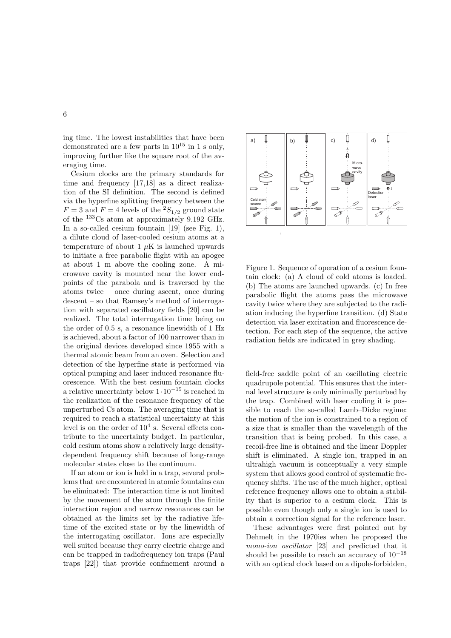ing time. The lowest instabilities that have been demonstrated are a few parts in  $10^{15}$  in 1 s only, improving further like the square root of the averaging time.

Cesium clocks are the primary standards for time and frequency [17,18] as a direct realization of the SI definition. The second is defined via the hyperfine splitting frequency between the  $F = 3$  and  $F = 4$  levels of the  ${}^{2}S_{1/2}$  ground state of the <sup>133</sup>Cs atom at approximately 9.192 GHz. In a so-called cesium fountain [19] (see Fig. 1), a dilute cloud of laser-cooled cesium atoms at a temperature of about 1  $\mu$ K is launched upwards to initiate a free parabolic flight with an apogee at about 1 m above the cooling zone. A microwave cavity is mounted near the lower endpoints of the parabola and is traversed by the atoms twice – once during ascent, once during descent – so that Ramsey's method of interrogation with separated oscillatory fields [20] can be realized. The total interrogation time being on the order of 0.5 s, a resonance linewidth of 1 Hz is achieved, about a factor of 100 narrower than in the original devices developed since 1955 with a thermal atomic beam from an oven. Selection and detection of the hyperfine state is performed via optical pumping and laser induced resonance fluorescence. With the best cesium fountain clocks a relative uncertainty below  $1 \cdot 10^{-15}$  is reached in the realization of the resonance frequency of the unperturbed Cs atom. The averaging time that is required to reach a statistical uncertainty at this level is on the order of  $10^4$  s. Several effects contribute to the uncertainty budget. In particular, cold cesium atoms show a relatively large densitydependent frequency shift because of long-range molecular states close to the continuum.

If an atom or ion is held in a trap, several problems that are encountered in atomic fountains can be eliminated: The interaction time is not limited by the movement of the atom through the finite interaction region and narrow resonances can be obtained at the limits set by the radiative lifetime of the excited state or by the linewidth of the interrogating oscillator. Ions are especially well suited because they carry electric charge and can be trapped in radiofrequency ion traps (Paul traps [22]) that provide confinement around a



Figure 1. Sequence of operation of a cesium fountain clock: (a) A cloud of cold atoms is loaded. (b) The atoms are launched upwards. (c) In free parabolic flight the atoms pass the microwave cavity twice where they are subjected to the radiation inducing the hyperfine transition. (d) State detection via laser excitation and fluorescence detection. For each step of the sequence, the active radiation fields are indicated in grey shading.

field-free saddle point of an oscillating electric quadrupole potential. This ensures that the internal level structure is only minimally perturbed by the trap. Combined with laser cooling it is possible to reach the so-called Lamb–Dicke regime: the motion of the ion is constrained to a region of a size that is smaller than the wavelength of the transition that is being probed. In this case, a recoil-free line is obtained and the linear Doppler shift is eliminated. A single ion, trapped in an ultrahigh vacuum is conceptually a very simple system that allows good control of systematic frequency shifts. The use of the much higher, optical reference frequency allows one to obtain a stability that is superior to a cesium clock. This is possible even though only a single ion is used to obtain a correction signal for the reference laser.

These advantages were first pointed out by Dehmelt in the 1970ies when he proposed the mono-ion oscillator [23] and predicted that it should be possible to reach an accuracy of  $10^{-18}$ with an optical clock based on a dipole-forbidden,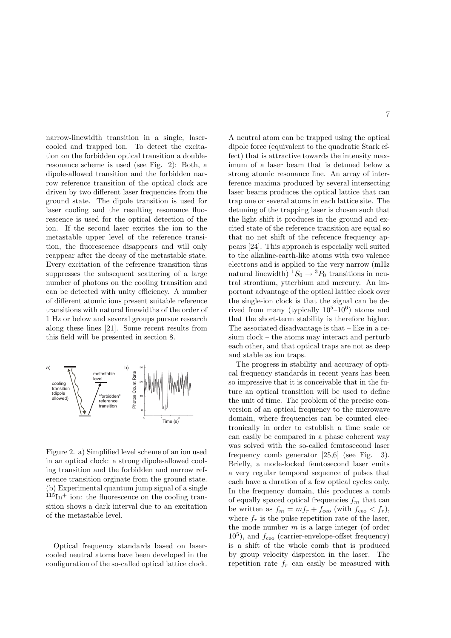narrow-linewidth transition in a single, lasercooled and trapped ion. To detect the excitation on the forbidden optical transition a doubleresonance scheme is used (see Fig. 2): Both, a dipole-allowed transition and the forbidden narrow reference transition of the optical clock are driven by two different laser frequencies from the ground state. The dipole transition is used for laser cooling and the resulting resonance fluorescence is used for the optical detection of the ion. If the second laser excites the ion to the metastable upper level of the reference transition, the fluorescence disappears and will only reappear after the decay of the metastable state. Every excitation of the reference transition thus suppresses the subsequent scattering of a large number of photons on the cooling transition and can be detected with unity efficiency. A number of different atomic ions present suitable reference transitions with natural linewidths of the order of 1 Hz or below and several groups pursue research along these lines [21]. Some recent results from this field will be presented in section 8.



Figure 2. a) Simplified level scheme of an ion used in an optical clock: a strong dipole-allowed cooling transition and the forbidden and narrow reference transition orginate from the ground state. (b) Experimental quantum jump signal of a single  $115$ In<sup>+</sup> ion: the fluorescence on the cooling transition shows a dark interval due to an excitation of the metastable level.

Optical frequency standards based on lasercooled neutral atoms have been developed in the configuration of the so-called optical lattice clock. A neutral atom can be trapped using the optical dipole force (equivalent to the quadratic Stark effect) that is attractive towards the intensity maximum of a laser beam that is detuned below a strong atomic resonance line. An array of interference maxima produced by several intersecting laser beams produces the optical lattice that can trap one or several atoms in each lattice site. The detuning of the trapping laser is chosen such that the light shift it produces in the ground and excited state of the reference transition are equal so that no net shift of the reference frequency appears [24]. This approach is especially well suited to the alkaline-earth-like atoms with two valence electrons and is applied to the very narrow (mHz natural linewidth)  ${}^{1}S_0 \rightarrow {}^{3}P_0$  transitions in neutral strontium, ytterbium and mercury. An important advantage of the optical lattice clock over the single-ion clock is that the signal can be derived from many (typically  $10^5-10^6$ ) atoms and that the short-term stability is therefore higher. The associated disadvantage is that – like in a cesium clock – the atoms may interact and perturb each other, and that optical traps are not as deep and stable as ion traps.

The progress in stability and accuracy of optical frequency standards in recent years has been so impressive that it is conceivable that in the future an optical transition will be used to define the unit of time. The problem of the precise conversion of an optical frequency to the microwave domain, where frequencies can be counted electronically in order to establish a time scale or can easily be compared in a phase coherent way was solved with the so-called femtosecond laser frequency comb generator [25,6] (see Fig. 3). Briefly, a mode-locked femtosecond laser emits a very regular temporal sequence of pulses that each have a duration of a few optical cycles only. In the frequency domain, this produces a comb of equally spaced optical frequencies  $f_m$  that can be written as  $f_m = mf_r + f_{ceo}$  (with  $f_{ceo} < f_r$ ), where  $f_r$  is the pulse repetition rate of the laser, the mode number  $m$  is a large integer (of order  $10<sup>5</sup>$ ), and  $f_{ceo}$  (carrier-envelope-offset frequency) is a shift of the whole comb that is produced by group velocity dispersion in the laser. The repetition rate  $f_r$  can easily be measured with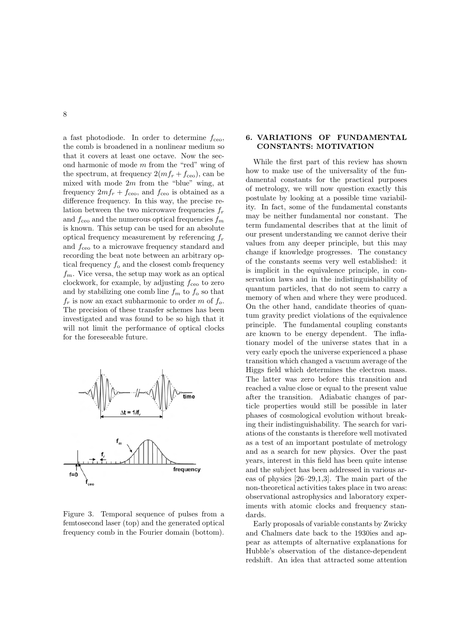a fast photodiode. In order to determine  $f_{ceo}$ , the comb is broadened in a nonlinear medium so that it covers at least one octave. Now the second harmonic of mode m from the "red" wing of the spectrum, at frequency  $2(mf_r + f_{ceo})$ , can be mixed with mode  $2m$  from the "blue" wing, at frequency  $2mf_r + f_{ceo}$ , and  $f_{ceo}$  is obtained as a difference frequency. In this way, the precise relation between the two microwave frequencies  $f_r$ and  $f_{ceo}$  and the numerous optical frequencies  $f_m$ is known. This setup can be used for an absolute optical frequency measurement by referencing  $f_r$ and  $f_{ceo}$  to a microwave frequency standard and recording the beat note between an arbitrary optical frequency  $f_0$  and the closest comb frequency  $f_m$ . Vice versa, the setup may work as an optical clockwork, for example, by adjusting  $f_{ceo}$  to zero and by stabilizing one comb line  $f_m$  to  $f_o$  so that  $f_r$  is now an exact subharmonic to order m of  $f_o$ . The precision of these transfer schemes has been investigated and was found to be so high that it will not limit the performance of optical clocks for the foreseeable future.



Figure 3. Temporal sequence of pulses from a femtosecond laser (top) and the generated optical frequency comb in the Fourier domain (bottom).

## 6. VARIATIONS OF FUNDAMENTAL CONSTANTS: MOTIVATION

While the first part of this review has shown how to make use of the universality of the fundamental constants for the practical purposes of metrology, we will now question exactly this postulate by looking at a possible time variability. In fact, some of the fundamental constants may be neither fundamental nor constant. The term fundamental describes that at the limit of our present understanding we cannot derive their values from any deeper principle, but this may change if knowledge progresses. The constancy of the constants seems very well established: it is implicit in the equivalence principle, in conservation laws and in the indistinguishability of quantum particles, that do not seem to carry a memory of when and where they were produced. On the other hand, candidate theories of quantum gravity predict violations of the equivalence principle. The fundamental coupling constants are known to be energy dependent. The inflationary model of the universe states that in a very early epoch the universe experienced a phase transition which changed a vacuum average of the Higgs field which determines the electron mass. The latter was zero before this transition and reached a value close or equal to the present value after the transition. Adiabatic changes of particle properties would still be possible in later phases of cosmological evolution without breaking their indistinguishability. The search for variations of the constants is therefore well motivated as a test of an important postulate of metrology and as a search for new physics. Over the past years, interest in this field has been quite intense and the subject has been addressed in various areas of physics [26–29,1,3]. The main part of the non-theoretical activities takes place in two areas: observational astrophysics and laboratory experiments with atomic clocks and frequency standards.

Early proposals of variable constants by Zwicky and Chalmers date back to the 1930ies and appear as attempts of alternative explanations for Hubble's observation of the distance-dependent redshift. An idea that attracted some attention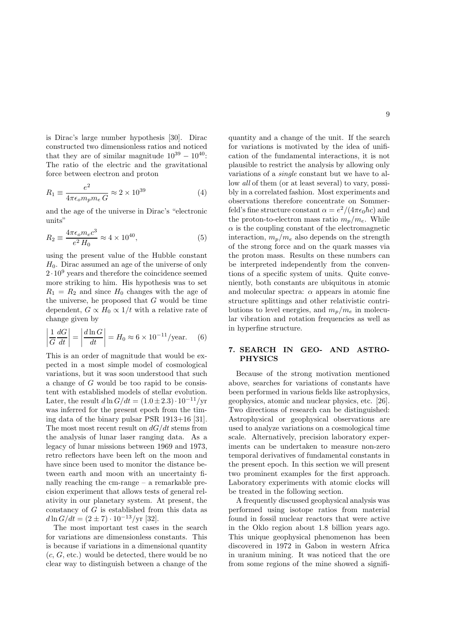is Dirac's large number hypothesis [30]. Dirac constructed two dimensionless ratios and noticed that they are of similar magnitude  $10^{39} - 10^{40}$ . The ratio of the electric and the gravitational force between electron and proton

$$
R_1 \equiv \frac{e^2}{4\pi\epsilon_o m_p m_e G} \approx 2 \times 10^{39} \tag{4}
$$

and the age of the universe in Dirac's "electronic units"

$$
R_2 \equiv \frac{4\pi\epsilon_o m_e c^3}{e^2 H_0} \approx 4 \times 10^{40},\tag{5}
$$

using the present value of the Hubble constant  $H_0$ . Dirac assumed an age of the universe of only  $2 \cdot 10^9$  years and therefore the coincidence seemed more striking to him. His hypothesis was to set  $R_1 = R_2$  and since  $H_0$  changes with the age of the universe, he proposed that  $G$  would be time dependent,  $G \propto H_0 \propto 1/t$  with a relative rate of change given by

$$
\left| \frac{1}{G} \frac{dG}{dt} \right| = \left| \frac{d \ln G}{dt} \right| = H_0 \approx 6 \times 10^{-11} / \text{year.}
$$
 (6)

This is an order of magnitude that would be expected in a most simple model of cosmological variations, but it was soon understood that such a change of  $G$  would be too rapid to be consistent with established models of stellar evolution. Later, the result  $d \ln G/dt = (1.0 \pm 2.3) \cdot 10^{-11}/\text{yr}$ was inferred for the present epoch from the timing data of the binary pulsar PSR 1913+16 [31]. The most most recent result on  $dG/dt$  stems from the analysis of lunar laser ranging data. As a legacy of lunar missions between 1969 and 1973, retro reflectors have been left on the moon and have since been used to monitor the distance between earth and moon with an uncertainty finally reaching the cm-range – a remarkable precision experiment that allows tests of general relativity in our planetary system. At present, the constancy of  $G$  is established from this data as  $d \ln G/dt = (2 \pm 7) \cdot 10^{-13} / \text{yr}$  [32].

The most important test cases in the search for variations are dimensionless constants. This is because if variations in a dimensional quantity  $(c, G, \text{etc.})$  would be detected, there would be no clear way to distinguish between a change of the quantity and a change of the unit. If the search for variations is motivated by the idea of unification of the fundamental interactions, it is not plausible to restrict the analysis by allowing only variations of a single constant but we have to allow all of them (or at least several) to vary, possibly in a correlated fashion. Most experiments and observations therefore concentrate on Sommerfeld's fine structure constant  $\alpha = e^2/(4\pi\epsilon_0\hbar c)$  and the proton-to-electron mass ratio  $m_p/m_e$ . While  $\alpha$  is the coupling constant of the electromagnetic interaction,  $m_p/m_e$  also depends on the strength of the strong force and on the quark masses via the proton mass. Results on these numbers can be interpreted independently from the conventions of a specific system of units. Quite conveniently, both constants are ubiquitous in atomic and molecular spectra:  $\alpha$  appears in atomic fine structure splittings and other relativistic contributions to level energies, and  $m_p/m_e$  in molecular vibration and rotation frequencies as well as in hyperfine structure.

## 7. SEARCH IN GEO- AND ASTRO-PHYSICS

Because of the strong motivation mentioned above, searches for variations of constants have been performed in various fields like astrophysics, geophysics, atomic and nuclear physics, etc. [26]. Two directions of research can be distinguished: Astrophysical or geophysical observations are used to analyze variations on a cosmological time scale. Alternatively, precision laboratory experiments can be undertaken to measure non-zero temporal derivatives of fundamental constants in the present epoch. In this section we will present two prominent examples for the first approach. Laboratory experiments with atomic clocks will be treated in the following section.

A frequently discussed geophysical analysis was performed using isotope ratios from material found in fossil nuclear reactors that were active in the Oklo region about 1.8 billion years ago. This unique geophysical phenomenon has been discovered in 1972 in Gabon in western Africa in uranium mining. It was noticed that the ore from some regions of the mine showed a signifi-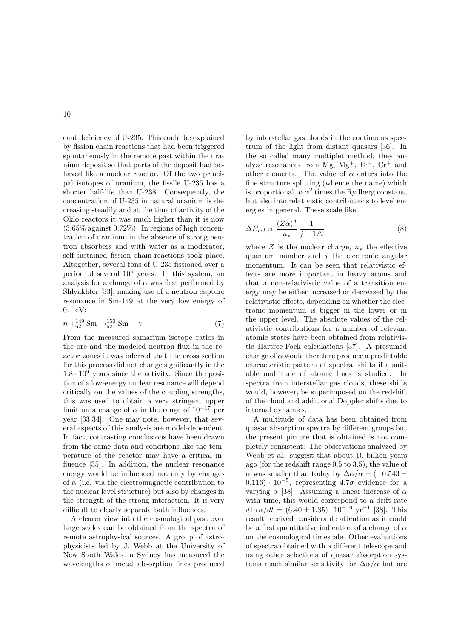cant deficiency of U-235. This could be explained by fission chain reactions that had been triggered spontaneously in the remote past within the uranium deposit so that parts of the deposit had behaved like a nuclear reactor. Of the two principal isotopes of uranium, the fissile U-235 has a shorter half-life than U-238. Consequently, the concentration of U-235 in natural uranium is decreasing steadily and at the time of activity of the Oklo reactors it was much higher than it is now  $(3.65\%$  against  $0.72\%)$ . In regions of high concentration of uranium, in the absence of strong neutron absorbers and with water as a moderator, self-sustained fission chain-reactions took place. Altogether, several tons of U-235 fissioned over a period of several  $10^5$  years. In this system, an analysis for a change of  $\alpha$  was first performed by Shlyakhter [33], making use of a neutron capture resonance in Sm-149 at the very low energy of 0.1 eV:

$$
n +_{62}^{149} \text{Sm} \rightarrow_{62}^{150} \text{Sm} + \gamma. \tag{7}
$$

From the measured samarium isotope ratios in the ore and the modeled neutron flux in the reactor zones it was inferred that the cross section for this process did not change significantly in the  $1.8 \cdot 10^9$  years since the activity. Since the position of a low-energy nuclear resonance will depend critically on the values of the coupling strengths, this was used to obtain a very stringent upper limit on a change of  $\alpha$  in the range of 10<sup>-17</sup> per year [33,34]. One may note, however, that several aspects of this analysis are model-dependent. In fact, contrasting conclusions have been drawn from the same data and conditions like the temperature of the reactor may have a critical influence [35]. In addition, the nuclear resonance energy would be influenced not only by changes of  $\alpha$  (i.e. via the electromagnetic contribution to the nuclear level structure) but also by changes in the strength of the strong interaction. It is very difficult to clearly separate both influences.

A clearer view into the cosmological past over large scales can be obtained from the spectra of remote astrophysical sources. A group of astrophysicists led by J. Webb at the University of New South Wales in Sydney has measured the wavelengths of metal absorption lines produced

by interstellar gas clouds in the continuous spectrum of the light from distant quasars [36]. In the so called many multiplet method, they analyze resonances from Mg,  $Mg^+$ ,  $Fe^+$ ,  $Cr^+$  and other elements. The value of  $\alpha$  enters into the fine structure splitting (whence the name) which is proportional to  $\alpha^2$  times the Rydberg constant, but also into relativistic contributions to level energies in general. These scale like

$$
\Delta E_{rel} \propto \frac{(Z\alpha)^2}{n_*} \frac{1}{j+1/2} \tag{8}
$$

where  $Z$  is the nuclear charge,  $n_*$  the effective quantum number and  $j$  the electronic angular momentum. It can be seen that relativistic effects are more important in heavy atoms and that a non-relativistic value of a transition energy may be either increased or decreased by the relativistic effects, depending on whether the electronic momentum is bigger in the lower or in the upper level. The absolute values of the relativistic contributions for a number of relevant atomic states have been obtained from relativistic Hartree-Fock calculations [37]. A presumed change of  $\alpha$  would therefore produce a predictable characteristic pattern of spectral shifts if a suitable multitude of atomic lines is studied. In spectra from interstellar gas clouds, these shifts would, however, be superimposed on the redshift of the cloud and additional Doppler shifts due to internal dynamics.

A multitude of data has been obtained from quasar absorption spectra by different groups but the present picture that is obtained is not completely consistent: The observations analyzed by Webb et al. suggest that about 10 billion years ago (for the redshift range 0.5 to 3.5), the value of α was smaller than today by  $\Delta\alpha/\alpha = (-0.543 \pm$  $(0.116) \cdot 10^{-5}$ , representing  $4.7\sigma$  evidence for a varying  $\alpha$  [38]. Assuming a linear increase of  $\alpha$ with time, this would correspond to a drift rate  $d \ln \alpha/dt = (6.40 \pm 1.35) \cdot 10^{-16} \text{ yr}^{-1}$  [38]. This result received considerable attention as it could be a first quantitative indication of a change of  $\alpha$ on the cosmological timescale. Other evaluations of spectra obtained with a different telescope and using other selections of quasar absorption systems reach similar sensitivity for  $\Delta \alpha / \alpha$  but are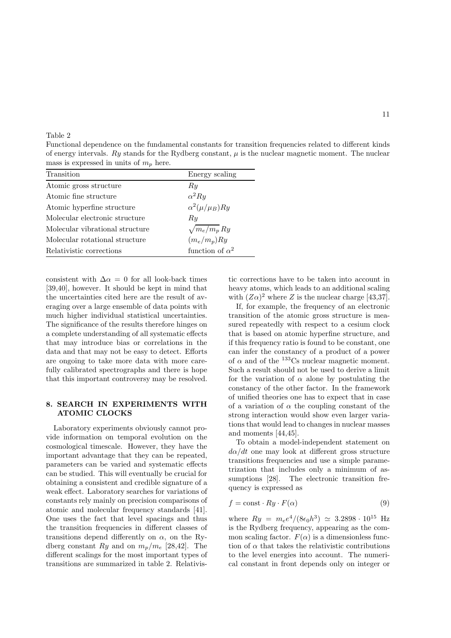Table 2

Functional dependence on the fundamental constants for transition frequencies related to different kinds of energy intervals.  $Ry$  stands for the Rydberg constant,  $\mu$  is the nuclear magnetic moment. The nuclear mass is expressed in units of  $m_p$  here.

| Transition                      | Energy scaling          |
|---------------------------------|-------------------------|
| Atomic gross structure          | Ru                      |
| Atomic fine structure           | $\alpha^2 Ry$           |
| Atomic hyperfine structure      | $\alpha^2(\mu/\mu_B)Ry$ |
| Molecular electronic structure  | Ru                      |
| Molecular vibrational structure | $\sqrt{m_e/m_p} Ry$     |
| Molecular rotational structure  | $(m_e/m_p)Ry$           |
| Relativistic corrections        | function of $\alpha^2$  |

consistent with  $\Delta \alpha = 0$  for all look-back times [39,40], however. It should be kept in mind that the uncertainties cited here are the result of averaging over a large ensemble of data points with much higher individual statistical uncertainties. The significance of the results therefore hinges on a complete understanding of all systematic effects that may introduce bias or correlations in the data and that may not be easy to detect. Efforts are ongoing to take more data with more carefully calibrated spectrographs and there is hope that this important controversy may be resolved.

## 8. SEARCH IN EXPERIMENTS WITH ATOMIC CLOCKS

Laboratory experiments obviously cannot provide information on temporal evolution on the cosmological timescale. However, they have the important advantage that they can be repeated, parameters can be varied and systematic effects can be studied. This will eventually be crucial for obtaining a consistent and credible signature of a weak effect. Laboratory searches for variations of constants rely mainly on precision comparisons of atomic and molecular frequency standards [41]. One uses the fact that level spacings and thus the transition frequencies in different classes of transitions depend differently on  $\alpha$ , on the Rydberg constant Ry and on  $m_n/m_e$  [28,42]. The different scalings for the most important types of transitions are summarized in table 2. Relativistic corrections have to be taken into account in heavy atoms, which leads to an additional scaling with  $(Z\alpha)^2$  where Z is the nuclear charge [43,37].

If, for example, the frequency of an electronic transition of the atomic gross structure is measured repeatedly with respect to a cesium clock that is based on atomic hyperfine structure, and if this frequency ratio is found to be constant, one can infer the constancy of a product of a power of  $\alpha$  and of the <sup>133</sup>Cs nuclear magnetic moment. Such a result should not be used to derive a limit for the variation of  $\alpha$  alone by postulating the constancy of the other factor. In the framework of unified theories one has to expect that in case of a variation of  $\alpha$  the coupling constant of the strong interaction would show even larger variations that would lead to changes in nuclear masses and moments [44,45].

To obtain a model-independent statement on  $d\alpha/dt$  one may look at different gross structure transitions frequencies and use a simple parametrization that includes only a minimum of assumptions [28]. The electronic transition frequency is expressed as

$$
f = \text{const} \cdot Ry \cdot F(\alpha) \tag{9}
$$

where  $Ry = m_e e^4/(8\epsilon_0 h^3) \approx 3.2898 \cdot 10^{15} \text{ Hz}$ is the Rydberg frequency, appearing as the common scaling factor.  $F(\alpha)$  is a dimensionless function of  $\alpha$  that takes the relativistic contributions to the level energies into account. The numerical constant in front depends only on integer or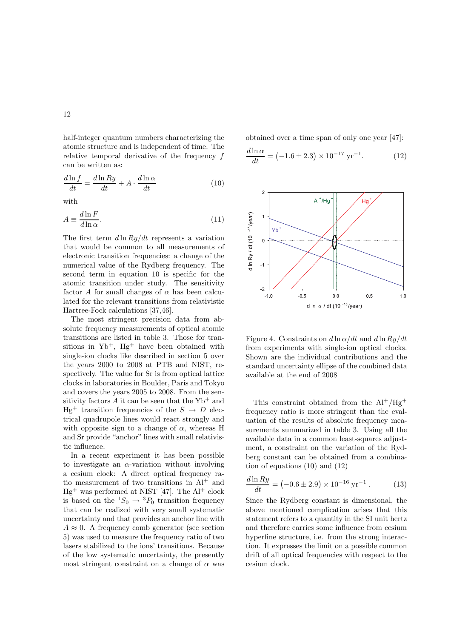half-integer quantum numbers characterizing the atomic structure and is independent of time. The relative temporal derivative of the frequency f can be written as:

$$
\frac{d\ln f}{dt} = \frac{d\ln Ry}{dt} + A \cdot \frac{d\ln \alpha}{dt} \tag{10}
$$

with

$$
A \equiv \frac{d\ln F}{d\ln \alpha}.\tag{11}
$$

The first term  $d \ln R_y/dt$  represents a variation that would be common to all measurements of electronic transition frequencies: a change of the numerical value of the Rydberg frequency. The second term in equation 10 is specific for the atomic transition under study. The sensitivity factor A for small changes of  $\alpha$  has been calculated for the relevant transitions from relativistic Hartree-Fock calculations [37,46].

The most stringent precision data from absolute frequency measurements of optical atomic transitions are listed in table 3. Those for transitions in  $Yb^+$ , Hg<sup>+</sup> have been obtained with single-ion clocks like described in section 5 over the years 2000 to 2008 at PTB and NIST, respectively. The value for Sr is from optical lattice clocks in laboratories in Boulder, Paris and Tokyo and covers the years 2005 to 2008. From the sensitivity factors  $A$  it can be seen that the  $Yb^+$  and  $Hg^+$  transition frequencies of the  $S \rightarrow D$  electrical quadrupole lines would react strongly and with opposite sign to a change of  $\alpha$ , whereas H and Sr provide "anchor" lines with small relativistic influence.

In a recent experiment it has been possible to investigate an  $\alpha$ -variation without involving a cesium clock: A direct optical frequency ratio measurement of two transitions in Al<sup>+</sup> and  $Hg^+$  was performed at NIST [47]. The Al<sup>+</sup> clock is based on the  ${}^1S_0 \rightarrow {}^3P_0$  transition frequency that can be realized with very small systematic uncertainty and that provides an anchor line with  $A \approx 0$ . A frequency comb generator (see section 5) was used to measure the frequency ratio of two lasers stabilized to the ions' transitions. Because of the low systematic uncertainty, the presently most stringent constraint on a change of  $\alpha$  was

obtained over a time span of only one year [47]:

$$
\frac{d\ln\alpha}{dt} = (-1.6 \pm 2.3) \times 10^{-17} \text{ yr}^{-1}.
$$
 (12)



Figure 4. Constraints on  $d \ln \alpha/dt$  and  $d \ln Ry/dt$ from experiments with single-ion optical clocks. Shown are the individual contributions and the standard uncertainty ellipse of the combined data available at the end of 2008

This constraint obtained from the  $Al^+/Hg^+$ frequency ratio is more stringent than the evaluation of the results of absolute frequency measurements summarized in table 3. Using all the available data in a common least-squares adjustment, a constraint on the variation of the Rydberg constant can be obtained from a combination of equations (10) and (12)

$$
\frac{d\ln Ry}{dt} = (-0.6 \pm 2.9) \times 10^{-16} \text{ yr}^{-1} . \tag{13}
$$

Since the Rydberg constant is dimensional, the above mentioned complication arises that this statement refers to a quantity in the SI unit hertz and therefore carries some influence from cesium hyperfine structure, i.e. from the strong interaction. It expresses the limit on a possible common drift of all optical frequencies with respect to the cesium clock.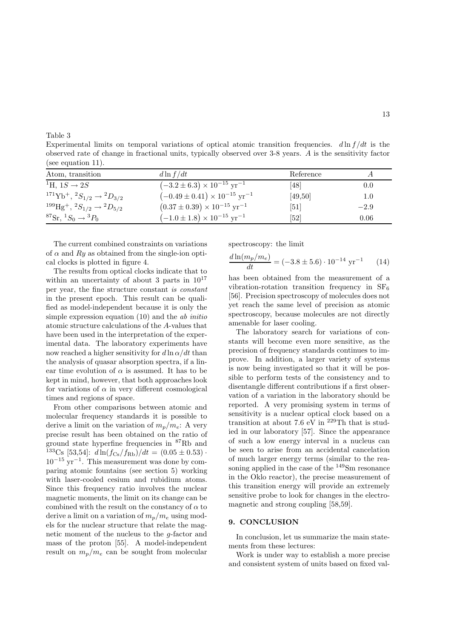Table 3

Experimental limits on temporal variations of optical atomic transition frequencies.  $d \ln f/dt$  is the observed rate of change in fractional units, typically observed over 3-8 years. A is the sensitivity factor (see equation 11).

| Atom, transition                                                                                           | $d\ln f/dt$                                         | Reference                     |        |
|------------------------------------------------------------------------------------------------------------|-----------------------------------------------------|-------------------------------|--------|
| <sup>1</sup> H, $1S \rightarrow 2S$                                                                        | $(-3.2 \pm 6.3) \times 10^{-15} \text{ yr}^{-1}$    | 48                            | 0.0    |
| $^{171}\text{Yb}^+$ , $^2S_{1/2} \rightarrow ^2D_{3/2}$                                                    | $(-0.49 \pm 0.41) \times 10^{-15}$ yr <sup>-1</sup> | [49, 50]                      | 1.0    |
| <sup>199</sup> Hg <sup>+</sup> , <sup>2</sup> S <sub>1/2</sub> $\rightarrow$ <sup>2</sup> D <sub>5/2</sub> | $(0.37 \pm 0.39) \times 10^{-15}$ yr <sup>-1</sup>  | $\left\lceil 51 \right\rceil$ | $-2.9$ |
| <sup>87</sup> Sr, <sup>1</sup> S <sub>0</sub> $\rightarrow$ <sup>3</sup> P <sub>0</sub>                    | $(-1.0 \pm 1.8) \times 10^{-15}$ yr <sup>-1</sup>   | $\left[52\right]$             | 0.06   |

The current combined constraints on variations of  $\alpha$  and  $Ry$  as obtained from the single-ion optical clocks is plotted in figure 4.

The results from optical clocks indicate that to within an uncertainty of about 3 parts in  $10^{17}$ per year, the fine structure constant is constant in the present epoch. This result can be qualified as model-independent because it is only the simple expression equation (10) and the ab initio atomic structure calculations of the A-values that have been used in the interpretation of the experimental data. The laboratory experiments have now reached a higher sensitivity for  $d \ln \alpha/dt$  than the analysis of quasar absorption spectra, if a linear time evolution of  $\alpha$  is assumed. It has to be kept in mind, however, that both approaches look for variations of  $\alpha$  in very different cosmological times and regions of space.

From other comparisons between atomic and molecular frequency standards it is possible to derive a limit on the variation of  $m_p/m_e$ : A very precise result has been obtained on the ratio of ground state hyperfine frequencies in <sup>87</sup>Rb and <sup>133</sup>Cs [53,54]:  $d \ln(f_{\text{Cs}}/f_{\text{Rb}})/dt = (0.05 \pm 0.53)$ .  $10^{-15}$  yr<sup>-1</sup>. This measurement was done by comparing atomic fountains (see section 5) working with laser-cooled cesium and rubidium atoms. Since this frequency ratio involves the nuclear magnetic moments, the limit on its change can be combined with the result on the constancy of  $\alpha$  to derive a limit on a variation of  $m_p/m_e$  using models for the nuclear structure that relate the magnetic moment of the nucleus to the g-factor and mass of the proton [55]. A model-independent result on  $m_p/m_e$  can be sought from molecular

spectroscopy: the limit

$$
\frac{d\ln(m_p/m_e)}{dt} = (-3.8 \pm 5.6) \cdot 10^{-14} \text{ yr}^{-1} \qquad (14)
$$

has been obtained from the measurement of a vibration-rotation transition frequency in  $SF<sub>6</sub>$ [56]. Precision spectroscopy of molecules does not yet reach the same level of precision as atomic spectroscopy, because molecules are not directly amenable for laser cooling.

The laboratory search for variations of constants will become even more sensitive, as the precision of frequency standards continues to improve. In addition, a larger variety of systems is now being investigated so that it will be possible to perform tests of the consistency and to disentangle different contributions if a first observation of a variation in the laboratory should be reported. A very promising system in terms of sensitivity is a nuclear optical clock based on a transition at about 7.6 eV in  $^{229}$ Th that is studied in our laboratory [57]. Since the appearance of such a low energy interval in a nucleus can be seen to arise from an accidental cancelation of much larger energy terms (similar to the reasoning applied in the case of the <sup>149</sup>Sm resonance in the Oklo reactor), the precise measurement of this transition energy will provide an extremely sensitive probe to look for changes in the electromagnetic and strong coupling [58,59].

#### 9. CONCLUSION

In conclusion, let us summarize the main statements from these lectures:

Work is under way to establish a more precise and consistent system of units based on fixed val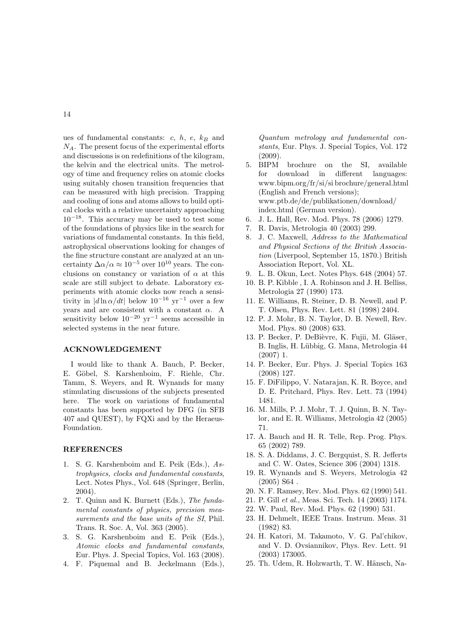ues of fundamental constants:  $c, h, e, k_B$  and  $N_A$ . The present focus of the experimental efforts and discussions is on redefinitions of the kilogram, the kelvin and the electrical units. The metrology of time and frequency relies on atomic clocks using suitably chosen transition frequencies that can be measured with high precision. Trapping and cooling of ions and atoms allows to build optical clocks with a relative uncertainty approaching  $10^{-18}$ . This accuracy may be used to test some of the foundations of physics like in the search for variations of fundamental constants. In this field, astrophysical observations looking for changes of the fine structure constant are analyzed at an uncertainty  $\Delta \alpha / \alpha \approx 10^{-5}$  over  $10^{10}$  years. The conclusions on constancy or variation of  $\alpha$  at this scale are still subject to debate. Laboratory experiments with atomic clocks now reach a sensitivity in  $|d \ln \alpha/dt|$  below 10<sup>-16</sup> yr<sup>-1</sup> over a few years and are consistent with a constant  $\alpha$ . A sensitivity below  $10^{-20}$  yr<sup>-1</sup> seems accessible in selected systems in the near future.

#### ACKNOWLEDGEMENT

I would like to thank A. Bauch, P. Becker, E. Göbel, S. Karshenboim, F. Riehle, Chr. Tamm, S. Weyers, and R. Wynands for many stimulating discussions of the subjects presented here. The work on variations of fundamental constants has been supported by DFG (in SFB 407 and QUEST), by FQXi and by the Heraeus-Foundation.

#### REFERENCES

- 1. S. G. Karshenboim and E. Peik (Eds.), Astrophysics, clocks and fundamental constants, Lect. Notes Phys., Vol. 648 (Springer, Berlin, 2004).
- 2. T. Quinn and K. Burnett (Eds.), The fundamental constants of physics, precision measurements and the base units of the SI, Phil. Trans. R. Soc. A, Vol. 363 (2005).
- 3. S. G. Karshenboim and E. Peik (Eds.), Atomic clocks and fundamental constants, Eur. Phys. J. Special Topics, Vol. 163 (2008).
- 4. F. Piquemal and B. Jeckelmann (Eds.),

Quantum metrology and fundamental constants, Eur. Phys. J. Special Topics, Vol. 172 (2009).

- 5. BIPM brochure on the SI, available for download in different languages: www.bipm.org/fr/si/si brochure/general.html (English and French versions); www.ptb.de/de/publikationen/download/ index.html (German version).
- 6. J. L. Hall, Rev. Mod. Phys. 78 (2006) 1279.
- 7. R. Davis, Metrologia 40 (2003) 299.
- 8. J. C. Maxwell, Address to the Mathematical and Physical Sections of the British Association (Liverpool, September 15, 1870.) British Association Report, Vol. XL.
- 9. L. B. Okun, Lect. Notes Phys. 648 (2004) 57.
- 10. B. P. Kibble , I. A. Robinson and J. H. Belliss, Metrologia 27 (1990) 173.
- 11. E. Williams, R. Steiner, D. B. Newell, and P. T. Olsen, Phys. Rev. Lett. 81 (1998) 2404.
- 12. P. J. Mohr, B. N. Taylor, D. B. Newell, Rev. Mod. Phys. 80 (2008) 633.
- 13. P. Becker, P. DeBièvre, K. Fujii, M. Gläser, B. Inglis, H. L¨ubbig, G. Mana, Metrologia 44 (2007) 1.
- 14. P. Becker, Eur. Phys. J. Special Topics 163 (2008) 127.
- 15. F. DiFilippo, V. Natarajan, K. R. Boyce, and D. E. Pritchard, Phys. Rev. Lett. 73 (1994) 1481.
- 16. M. Mills, P. J. Mohr, T. J. Quinn, B. N. Taylor, and E. R. Williams, Metrologia 42 (2005) 71.
- 17. A. Bauch and H. R. Telle, Rep. Prog. Phys. 65 (2002) 789.
- 18. S. A. Diddams, J. C. Bergquist, S. R. Jefferts and C. W. Oates, Science 306 (2004) 1318.
- 19. R. Wynands and S. Weyers, Metrologia 42 (2005) S64 .
- 20. N. F. Ramsey, Rev. Mod. Phys. 62 (1990) 541.
- 21. P. Gill et al., Meas. Sci. Tech. 14 (2003) 1174.
- 22. W. Paul, Rev. Mod. Phys. 62 (1990) 531.
- 23. H. Dehmelt, IEEE Trans. Instrum. Meas. 31 (1982) 83.
- 24. H. Katori, M. Takamoto, V. G. Pal'chikov, and V. D. Ovsiannikov, Phys. Rev. Lett. 91 (2003) 173005.
- 25. Th. Udem, R. Holzwarth, T. W. Hänsch, Na-